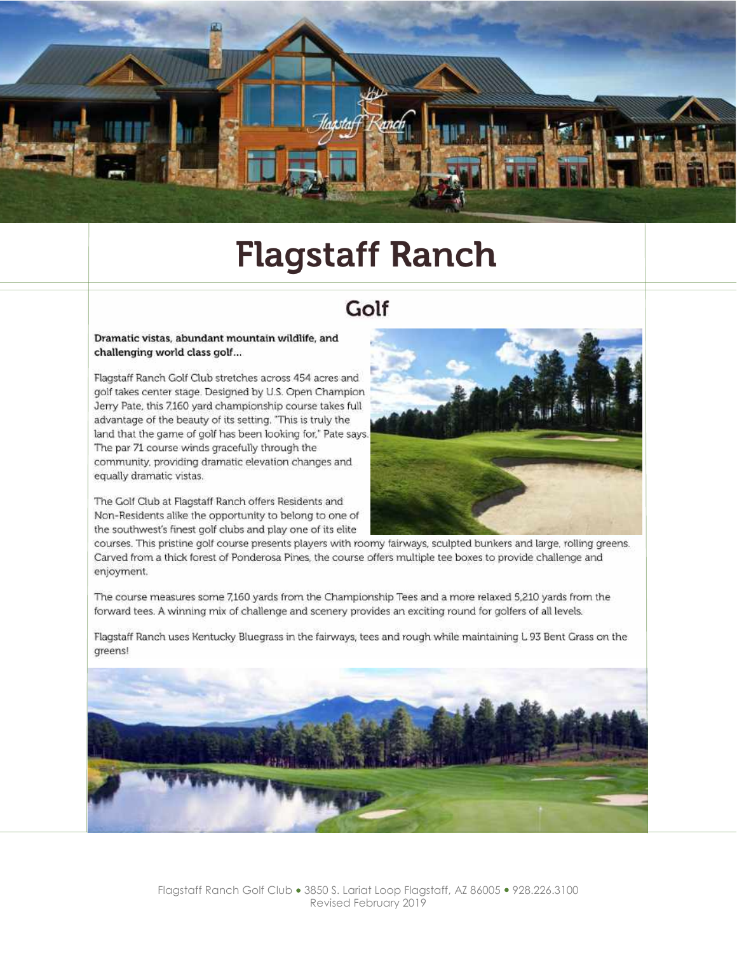

# **Flagstaff Ranch**

### Golf

#### Dramatic vistas, abundant mountain wildlife, and challenging world class golf...

Flagstaff Ranch Golf Club stretches across 454 acres and golf takes center stage. Designed by U.S. Open Champion Jerry Pate, this 7,160 yard championship course takes full advantage of the beauty of its setting. "This is truly the land that the game of golf has been looking for," Pate says. The par 71 course winds gracefully through the community, providing dramatic elevation changes and equally dramatic vistas.

The Golf Club at Flagstaff Ranch offers Residents and Non-Residents alike the opportunity to belong to one of the southwest's finest golf clubs and play one of its elite



courses. This pristine golf course presents players with roomy fairways, sculpted bunkers and large, rolling greens. Carved from a thick forest of Ponderosa Pines, the course offers multiple tee boxes to provide challenge and enjoyment.

The course measures some 7,160 yards from the Championship Tees and a more relaxed 5,210 yards from the forward tees. A winning mix of challenge and scenery provides an exciting round for golfers of all levels.

Flagstaff Ranch uses Kentucky Bluegrass in the fairways, tees and rough while maintaining L 93 Bent Grass on the greens!

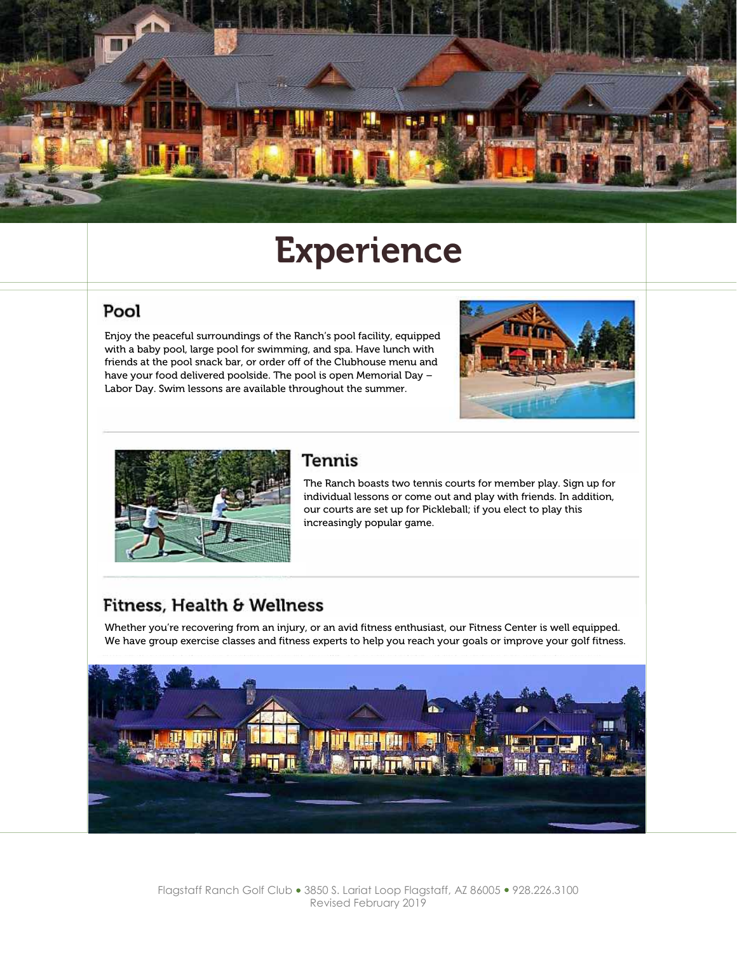

# **Experience**

#### Pool

Enjoy the peaceful surroundings of the Ranch's pool facility, equipped with a baby pool, large pool for swimming, and spa. Have lunch with friends at the pool snack bar, or order off of the Clubhouse menu and have your food delivered poolside. The pool is open Memorial Day – Labor Day. Swim lessons are available throughout the summer.





#### Tennis

The Ranch boasts two tennis courts for member play. Sign up for individual lessons or come out and play with friends. In addition, our courts are set up for Pickleball; if you elect to play this increasingly popular game.

### Fitness, Health & Wellness

Whether you're recovering from an injury, or an avid fitness enthusiast, our Fitness Center is well equipped. We have group exercise classes and fitness experts to help you reach your goals or improve your golf fitness.

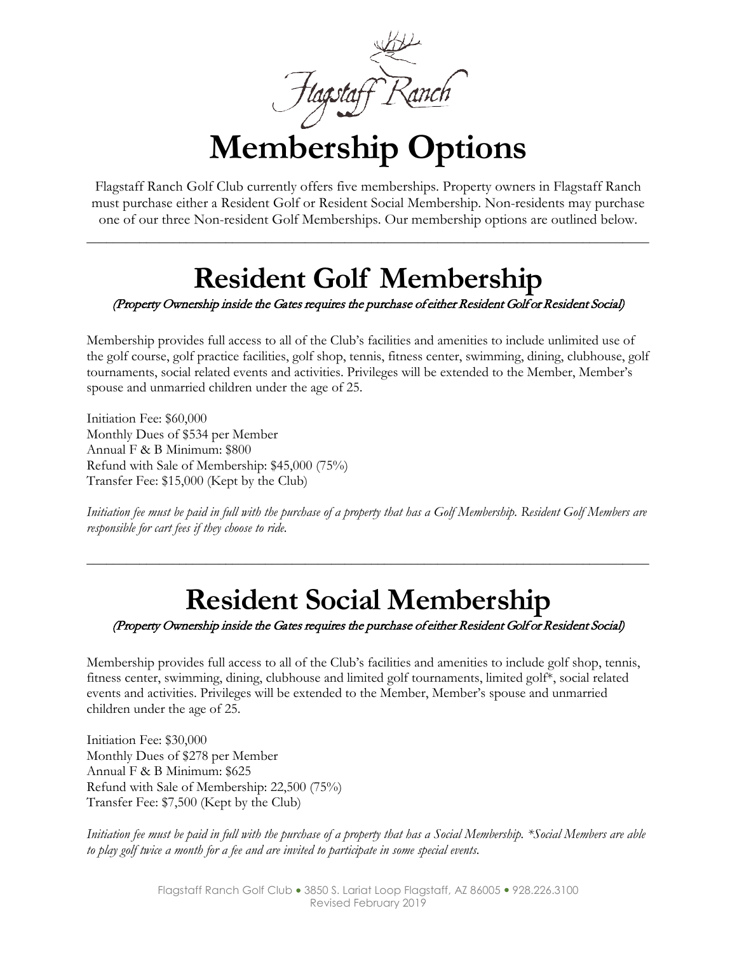**Membership Options**

Flagstaff Ranch Golf Club currently offers five memberships. Property owners in Flagstaff Ranch must purchase either a Resident Golf or Resident Social Membership. Non-residents may purchase one of our three Non-resident Golf Memberships. Our membership options are outlined below.

\_\_\_\_\_\_\_\_\_\_\_\_\_\_\_\_\_\_\_\_\_\_\_\_\_\_\_\_\_\_\_\_\_\_\_\_\_\_\_\_\_\_\_\_\_\_\_\_\_\_\_\_\_\_\_\_\_\_\_\_\_\_\_\_\_\_\_\_\_\_\_\_\_\_\_\_\_\_\_\_\_\_\_\_\_

### **Resident Golf Membership**

#### (Property Ownership inside the Gates requires the purchase of either Resident Golf or Resident Social)

Membership provides full access to all of the Club's facilities and amenities to include unlimited use of the golf course, golf practice facilities, golf shop, tennis, fitness center, swimming, dining, clubhouse, golf tournaments, social related events and activities. Privileges will be extended to the Member, Member's spouse and unmarried children under the age of 25.

Initiation Fee: \$60,000 Monthly Dues of \$534 per Member Annual F & B Minimum: \$800 Refund with Sale of Membership: \$45,000 (75%) Transfer Fee: \$15,000 (Kept by the Club)

*Initiation fee must be paid in full with the purchase of a property that has a Golf Membership. Resident Golf Members are responsible for cart fees if they choose to ride.*

\_\_\_\_\_\_\_\_\_\_\_\_\_\_\_\_\_\_\_\_\_\_\_\_\_\_\_\_\_\_\_\_\_\_\_\_\_\_\_\_\_\_\_\_\_\_\_\_\_\_\_\_\_\_\_\_\_\_\_\_\_\_\_\_\_\_\_\_\_\_\_\_\_\_\_\_\_\_\_\_\_\_\_\_\_

### **Resident Social Membership**

(Property Ownership inside the Gates requires the purchase of either Resident Golf or Resident Social)

Membership provides full access to all of the Club's facilities and amenities to include golf shop, tennis, fitness center, swimming, dining, clubhouse and limited golf tournaments, limited golf\*, social related events and activities. Privileges will be extended to the Member, Member's spouse and unmarried children under the age of 25.

Initiation Fee: \$30,000 Monthly Dues of \$278 per Member Annual F & B Minimum: \$625 Refund with Sale of Membership: 22,500 (75%) Transfer Fee: \$7,500 (Kept by the Club)

*Initiation fee must be paid in full with the purchase of a property that has a Social Membership. \*Social Members are able to play golf twice a month for a fee and are invited to participate in some special events.*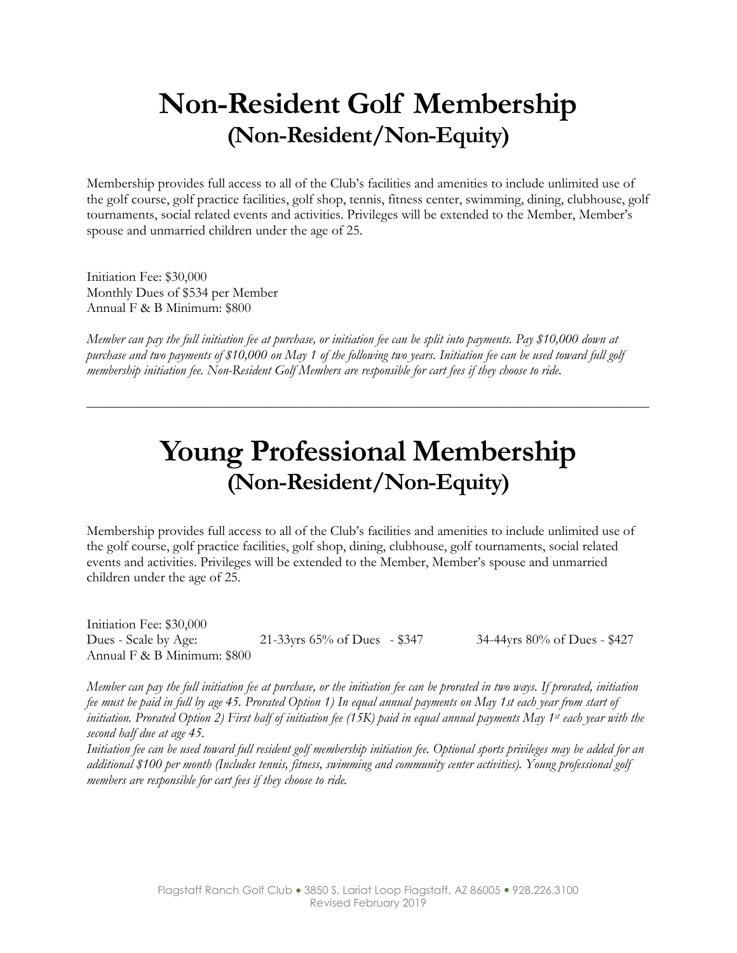### **Non-Resident Golf Membership (Non-Resident/Non-Equity)**

Membership provides full access to all of the Club's facilities and amenities to include unlimited use of the golf course, golf practice facilities, golf shop, tennis, fitness center, swimming, dining, clubhouse, golf tournaments, social related events and activities. Privileges will be extended to the Member, Member's spouse and unmarried children under the age of 25.

Initiation Fee: \$30,000 Monthly Dues of \$534 per Member Annual F & B Minimum: \$800

*Member can pay the full initiation fee at purchase, or initiation fee can be split into payments. Pay \$10,000 down at purchase and two payments of \$10,000 on May 1 of the following two years. Initiation fee can be used toward full golf membership initiation fee. Non-Resident Golf Members are responsible for cart fees if they choose to ride.*

### **Young Professional Membership (Non-Resident/Non-Equity)**

\_\_\_\_\_\_\_\_\_\_\_\_\_\_\_\_\_\_\_\_\_\_\_\_\_\_\_\_\_\_\_\_\_\_\_\_\_\_\_\_\_\_\_\_\_\_\_\_\_\_\_\_\_\_\_\_\_\_\_\_\_\_\_\_\_\_\_\_\_\_\_\_\_\_\_\_\_\_\_\_\_\_\_\_\_

Membership provides full access to all of the Club's facilities and amenities to include unlimited use of the golf course, golf practice facilities, golf shop, dining, clubhouse, golf tournaments, social related events and activities. Privileges will be extended to the Member, Member's spouse and unmarried children under the age of 25.

Initiation Fee: \$30,000 Dues - Scale by Age: 21-33yrs 65% of Dues - \$347 34-44yrs 80% of Dues - \$427 Annual F & B Minimum: \$800

*Member can pay the full initiation fee at purchase, or the initiation fee can be prorated in two ways. If prorated, initiation fee must be paid in full by age 45. Prorated Option 1) In equal annual payments on May 1st each year from start of initiation. Prorated Option 2) First half of initiation fee (15K) paid in equal annual payments May 1st each year with the second half due at age 45.*

*Initiation fee can be used toward full resident golf membership initiation fee. Optional sports privileges may be added for an additional \$100 per month (Includes tennis, fitness, swimming and community center activities). Young professional golf members are responsible for cart fees if they choose to ride.*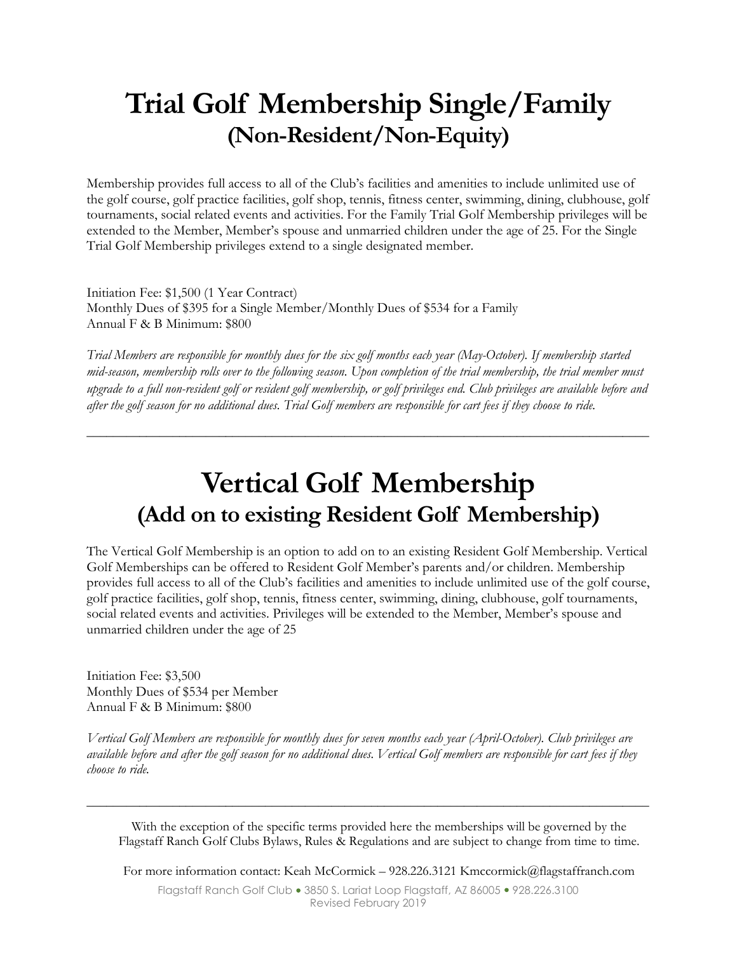### **Trial Golf Membership Single/Family (Non-Resident/Non-Equity)**

Membership provides full access to all of the Club's facilities and amenities to include unlimited use of the golf course, golf practice facilities, golf shop, tennis, fitness center, swimming, dining, clubhouse, golf tournaments, social related events and activities. For the Family Trial Golf Membership privileges will be extended to the Member, Member's spouse and unmarried children under the age of 25. For the Single Trial Golf Membership privileges extend to a single designated member.

Initiation Fee: \$1,500 (1 Year Contract) Monthly Dues of \$395 for a Single Member/Monthly Dues of \$534 for a Family Annual F & B Minimum: \$800

*Trial Members are responsible for monthly dues for the six golf months each year (May-October). If membership started mid-season, membership rolls over to the following season. Upon completion of the trial membership, the trial member must upgrade to a full non-resident golf or resident golf membership, or golf privileges end. Club privileges are available before and after the golf season for no additional dues. Trial Golf members are responsible for cart fees if they choose to ride.*

\_\_\_\_\_\_\_\_\_\_\_\_\_\_\_\_\_\_\_\_\_\_\_\_\_\_\_\_\_\_\_\_\_\_\_\_\_\_\_\_\_\_\_\_\_\_\_\_\_\_\_\_\_\_\_\_\_\_\_\_\_\_\_\_\_\_\_\_\_\_\_\_\_\_\_\_\_\_\_\_\_\_\_\_\_

### **Vertical Golf Membership (Add on to existing Resident Golf Membership)**

The Vertical Golf Membership is an option to add on to an existing Resident Golf Membership. Vertical Golf Memberships can be offered to Resident Golf Member's parents and/or children. Membership provides full access to all of the Club's facilities and amenities to include unlimited use of the golf course, golf practice facilities, golf shop, tennis, fitness center, swimming, dining, clubhouse, golf tournaments, social related events and activities. Privileges will be extended to the Member, Member's spouse and unmarried children under the age of 25

Initiation Fee: \$3,500 Monthly Dues of \$534 per Member Annual F & B Minimum: \$800

*Vertical Golf Members are responsible for monthly dues for seven months each year (April-October). Club privileges are available before and after the golf season for no additional dues. Vertical Golf members are responsible for cart fees if they choose to ride.*

\_\_\_\_\_\_\_\_\_\_\_\_\_\_\_\_\_\_\_\_\_\_\_\_\_\_\_\_\_\_\_\_\_\_\_\_\_\_\_\_\_\_\_\_\_\_\_\_\_\_\_\_\_\_\_\_\_\_\_\_\_\_\_\_\_\_\_\_\_\_\_\_\_\_\_\_\_\_\_\_\_\_\_\_\_

With the exception of the specific terms provided here the memberships will be governed by the Flagstaff Ranch Golf Clubs Bylaws, Rules & Regulations and are subject to change from time to time.

For more information contact: Keah McCormick – 928.226.3121 Kmccormick@flagstaffranch.com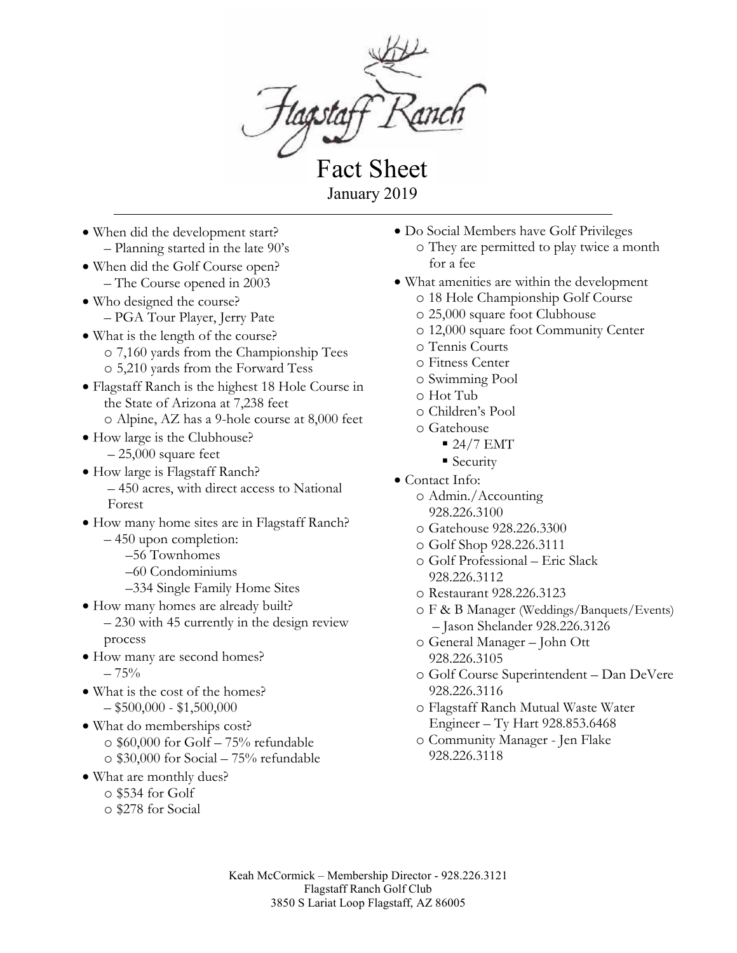

Fact Sheet January 2019

- When did the development start? – Planning started in the late 90's
- When did the Golf Course open? – The Course opened in 2003
- Who designed the course? – PGA Tour Player, Jerry Pate
- What is the length of the course? o 7,160 yards from the Championship Tees o 5,210 yards from the Forward Tess
- Flagstaff Ranch is the highest 18 Hole Course in the State of Arizona at 7,238 feet o Alpine, AZ has a 9-hole course at 8,000 feet
- How large is the Clubhouse?  $-25,000$  square feet
- How large is Flagstaff Ranch? – 450 acres, with direct access to National Forest
- How many home sites are in Flagstaff Ranch? – 450 upon completion:
	- –56 Townhomes
	- –60 Condominiums
	- –334 Single Family Home Sites
- How many homes are already built?
	- 230 with 45 currently in the design review process
- How many are second homes?  $-75%$
- What is the cost of the homes?  $-$ \$500,000 - \$1,500,000
- What do memberships cost? o \$60,000 for Golf – 75% refundable o \$30,000 for Social – 75% refundable
- What are monthly dues?
	- o \$534 for Golf
	- o \$278 for Social
- Do Social Members have Golf Privileges
	- o They are permitted to play twice a month for a fee
- What amenities are within the development
	- o 18 Hole Championship Golf Course
	- o 25,000 square foot Clubhouse
	- o 12,000 square foot Community Center
	- o Tennis Courts
	- o Fitness Center
	- o Swimming Pool
	- o Hot Tub
	- o Children's Pool
	- o Gatehouse
		- $24/7 EMT$
		- Security
- Contact Info:
	- o Admin./Accounting 928.226.3100
	- o Gatehouse 928.226.3300
	- o Golf Shop 928.226.3111
	- o Golf Professional Eric Slack 928.226.3112
	- o Restaurant 928.226.3123
	- o F & B Manager (Weddings/Banquets/Events) – Jason Shelander 928.226.3126
	- o General Manager John Ott 928.226.3105
	- o Golf Course Superintendent Dan DeVere 928.226.3116
	- o Flagstaff Ranch Mutual Waste Water Engineer – Ty Hart 928.853.6468
	- o Community Manager Jen Flake 928.226.3118

Keah McCormick – Membership Director - 928.226.3121 Flagstaff Ranch Golf Club 3850 S Lariat Loop Flagstaff, AZ 86005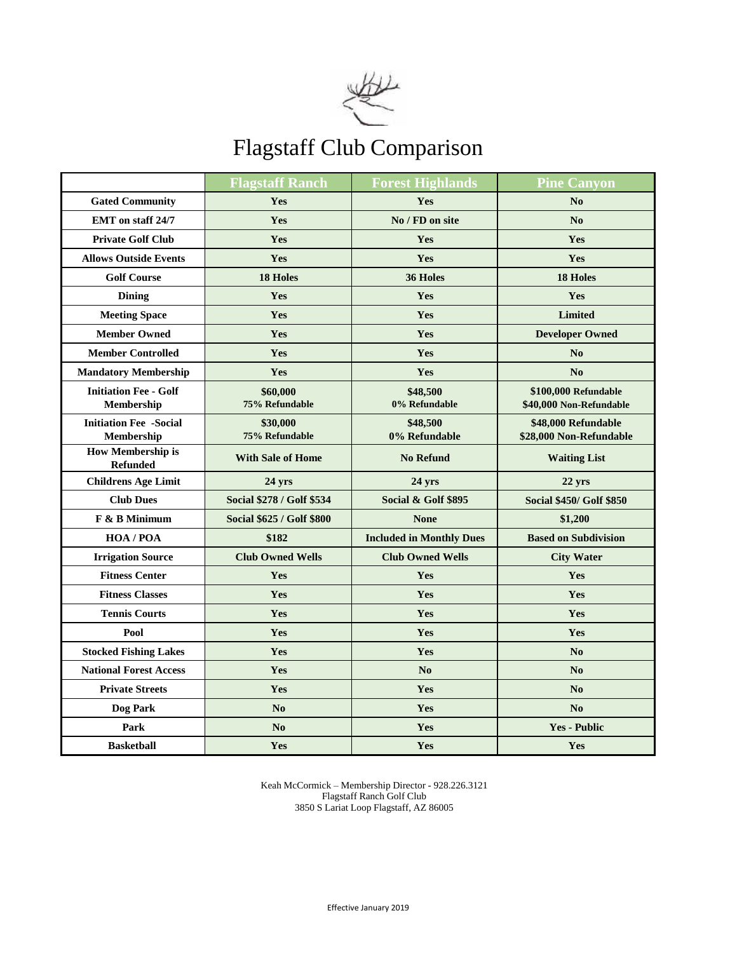

### Flagstaff Club Comparison

|                                                   | <b>Flagstaff Ranch</b>           | <b>Forest Highlands</b>         | <b>Pine Canyon</b>                              |  |
|---------------------------------------------------|----------------------------------|---------------------------------|-------------------------------------------------|--|
| <b>Gated Community</b>                            | Yes                              | Yes                             | No                                              |  |
| <b>EMT</b> on staff 24/7                          | Yes                              | No / FD on site                 | N <sub>0</sub>                                  |  |
| <b>Private Golf Club</b>                          | Yes                              | <b>Yes</b>                      | <b>Yes</b>                                      |  |
| <b>Allows Outside Events</b>                      | Yes                              | Yes                             | Yes                                             |  |
| <b>Golf Course</b>                                | <b>18 Holes</b>                  | 36 Holes                        | <b>18 Holes</b>                                 |  |
| <b>Dining</b>                                     | Yes                              | Yes                             | Yes                                             |  |
| <b>Meeting Space</b>                              | <b>Yes</b>                       | <b>Yes</b>                      | <b>Limited</b>                                  |  |
| <b>Member Owned</b>                               | Yes                              | Yes                             | <b>Developer Owned</b>                          |  |
| <b>Member Controlled</b>                          | Yes                              | Yes                             | No                                              |  |
| <b>Mandatory Membership</b>                       | Yes                              | Yes                             | No                                              |  |
| <b>Initiation Fee - Golf</b><br><b>Membership</b> | \$60,000<br>75% Refundable       | \$48,500<br>0% Refundable       | \$100,000 Refundable<br>\$40,000 Non-Refundable |  |
| <b>Initiation Fee -Social</b><br>Membership       | \$30,000<br>75% Refundable       | \$48,500<br>0% Refundable       | \$48,000 Refundable<br>\$28,000 Non-Refundable  |  |
| <b>How Membership is</b><br><b>Refunded</b>       | <b>With Sale of Home</b>         | <b>No Refund</b>                | <b>Waiting List</b>                             |  |
| <b>Childrens Age Limit</b>                        | 24 yrs                           | 24 yrs                          | 22 yrs                                          |  |
| <b>Club Dues</b>                                  | Social \$278 / Golf \$534        | Social & Golf \$895             | <b>Social \$450/ Golf \$850</b>                 |  |
| F & B Minimum                                     | <b>Social \$625 / Golf \$800</b> | <b>None</b>                     | \$1,200                                         |  |
| $HOA$ / $POA$                                     | \$182                            | <b>Included in Monthly Dues</b> | <b>Based on Subdivision</b>                     |  |
| <b>Irrigation Source</b>                          | <b>Club Owned Wells</b>          | <b>Club Owned Wells</b>         | <b>City Water</b>                               |  |
| <b>Fitness Center</b>                             | Yes                              | Yes                             | Yes                                             |  |
| <b>Fitness Classes</b>                            | Yes                              | Yes                             | Yes                                             |  |
| <b>Tennis Courts</b>                              | Yes                              | Yes                             | Yes                                             |  |
| Pool                                              | Yes                              | Yes                             | Yes                                             |  |
| <b>Stocked Fishing Lakes</b>                      | Yes                              | <b>Yes</b>                      | N <sub>0</sub>                                  |  |
| <b>National Forest Access</b>                     | Yes                              | No                              | No                                              |  |
| <b>Private Streets</b>                            | Yes                              | Yes                             | N <sub>0</sub>                                  |  |
| Dog Park                                          | No                               | Yes                             | No                                              |  |
| Park                                              | N <sub>0</sub>                   | Yes                             | <b>Yes - Public</b>                             |  |
| <b>Basketball</b>                                 | Yes                              | Yes                             | Yes                                             |  |

Keah McCormick – Membership Director - 928.226.3121 Flagstaff Ranch Golf Club 3850 S Lariat Loop Flagstaff, AZ 86005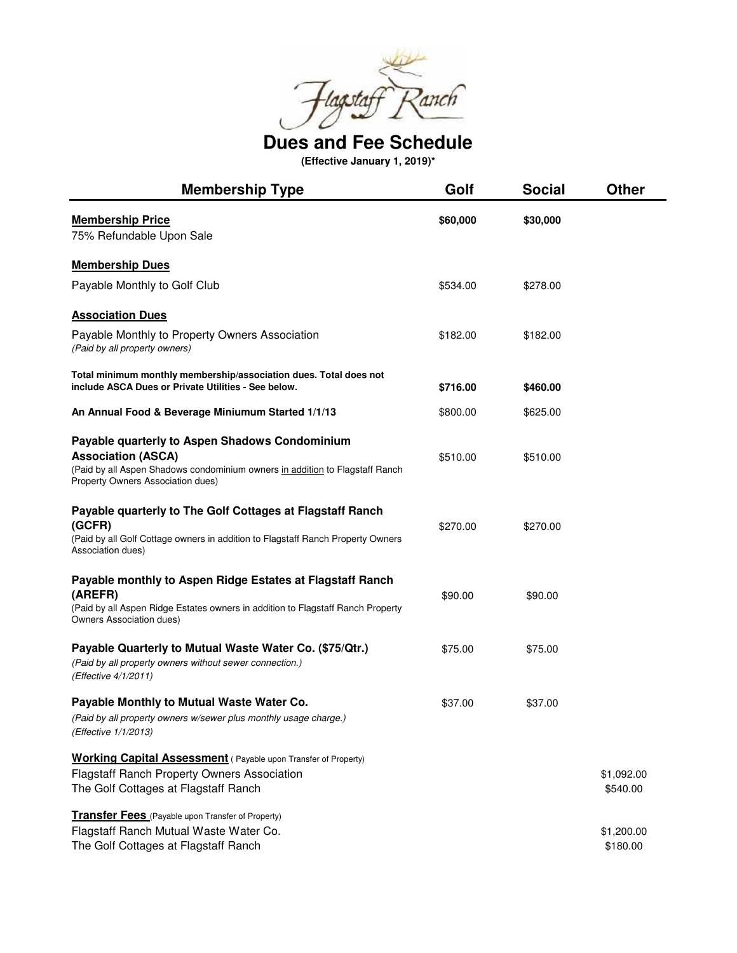

**Dues and Fee Schedule**

**(Effective January 1, 2019)\***

| <b>Membership Type</b>                                                                                                                                                                           | Golf     | <b>Social</b> | <b>Other</b>           |
|--------------------------------------------------------------------------------------------------------------------------------------------------------------------------------------------------|----------|---------------|------------------------|
| <b>Membership Price</b><br>75% Refundable Upon Sale                                                                                                                                              | \$60,000 | \$30,000      |                        |
| <b>Membership Dues</b>                                                                                                                                                                           |          |               |                        |
| Payable Monthly to Golf Club                                                                                                                                                                     | \$534.00 | \$278.00      |                        |
| <b>Association Dues</b>                                                                                                                                                                          |          |               |                        |
| Payable Monthly to Property Owners Association<br>(Paid by all property owners)                                                                                                                  | \$182.00 | \$182.00      |                        |
| Total minimum monthly membership/association dues. Total does not<br>include ASCA Dues or Private Utilities - See below.                                                                         | \$716.00 | \$460.00      |                        |
| An Annual Food & Beverage Miniumum Started 1/1/13                                                                                                                                                | \$800.00 | \$625.00      |                        |
| Payable quarterly to Aspen Shadows Condominium<br><b>Association (ASCA)</b><br>(Paid by all Aspen Shadows condominium owners in addition to Flagstaff Ranch<br>Property Owners Association dues) | \$510.00 | \$510.00      |                        |
| Payable quarterly to The Golf Cottages at Flagstaff Ranch<br>(GCFR)<br>(Paid by all Golf Cottage owners in addition to Flagstaff Ranch Property Owners<br>Association dues)                      | \$270.00 | \$270.00      |                        |
| Payable monthly to Aspen Ridge Estates at Flagstaff Ranch<br>(AREFR)<br>(Paid by all Aspen Ridge Estates owners in addition to Flagstaff Ranch Property<br>Owners Association dues)              | \$90.00  | \$90.00       |                        |
| Payable Quarterly to Mutual Waste Water Co. (\$75/Qtr.)<br>(Paid by all property owners without sewer connection.)<br>(Effective 4/1/2011)                                                       | \$75.00  | \$75.00       |                        |
| Payable Monthly to Mutual Waste Water Co.<br>(Paid by all property owners w/sewer plus monthly usage charge.)<br>(Effective 1/1/2013)                                                            | \$37.00  | \$37.00       |                        |
| <b>Working Capital Assessment</b> (Payable upon Transfer of Property)<br><b>Flagstaff Ranch Property Owners Association</b><br>The Golf Cottages at Flagstaff Ranch                              |          |               | \$1,092.00<br>\$540.00 |
| <b>Transfer Fees</b> (Payable upon Transfer of Property)<br>Flagstaff Ranch Mutual Waste Water Co.<br>The Golf Cottages at Flagstaff Ranch                                                       |          |               | \$1,200.00<br>\$180.00 |